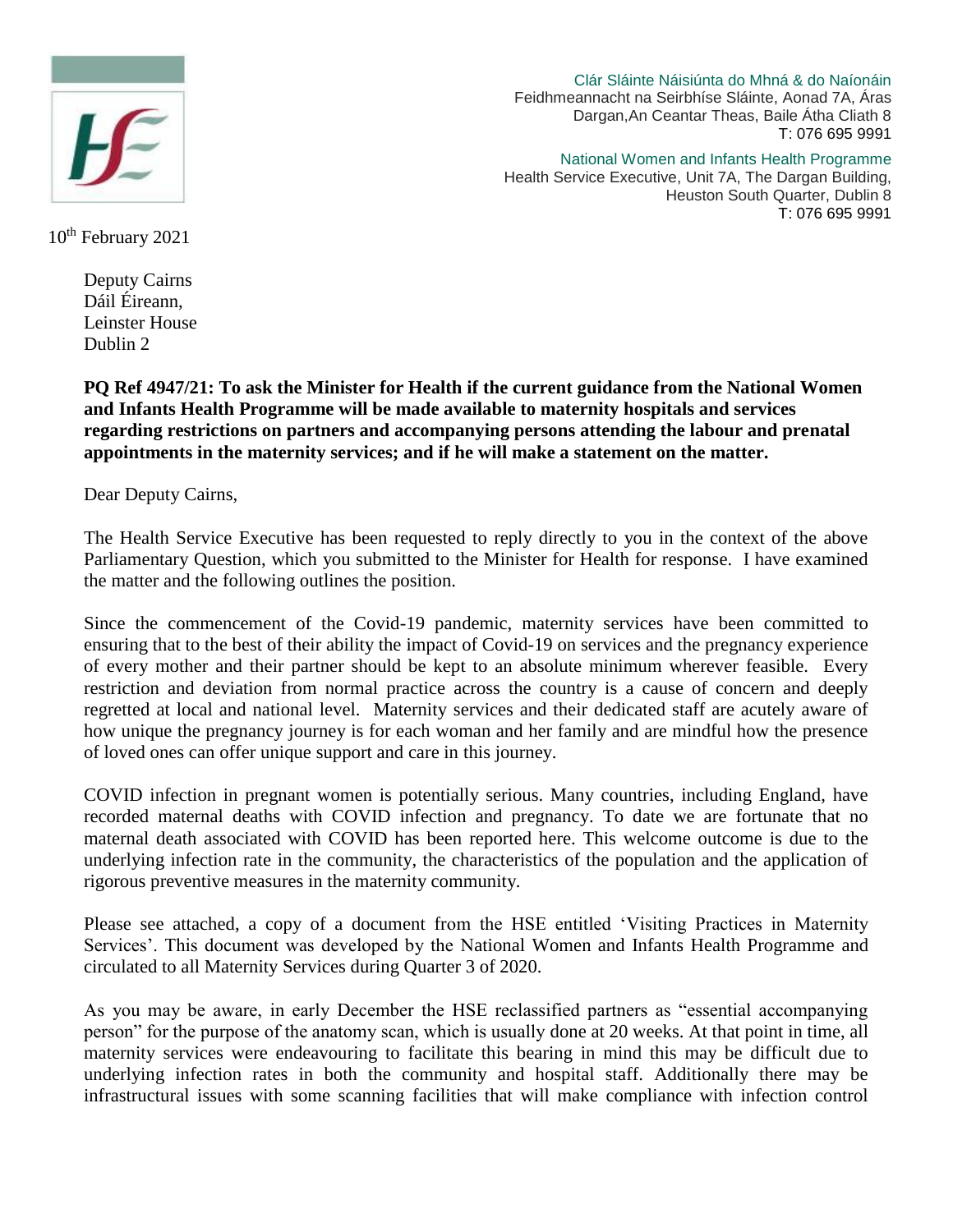

Clár Sláinte Náisiúnta do Mhná & do Naíonáin Feidhmeannacht na Seirbhíse Sláinte, Aonad 7A, Áras Dargan,An Ceantar Theas, Baile Átha Cliath 8 T: 076 695 9991

National Women and Infants Health Programme

Health Service Executive, Unit 7A, The Dargan Building, Heuston South Quarter, Dublin 8 T: 076 695 9991

10<sup>th</sup> February 2021

Deputy Cairns Dáil Éireann, Leinster House Dublin 2

**PQ Ref 4947/21: To ask the Minister for Health if the current guidance from the National Women and Infants Health Programme will be made available to maternity hospitals and services regarding restrictions on partners and accompanying persons attending the labour and prenatal appointments in the maternity services; and if he will make a statement on the matter.**

Dear Deputy Cairns,

The Health Service Executive has been requested to reply directly to you in the context of the above Parliamentary Question, which you submitted to the Minister for Health for response. I have examined the matter and the following outlines the position.

Since the commencement of the Covid-19 pandemic, maternity services have been committed to ensuring that to the best of their ability the impact of Covid-19 on services and the pregnancy experience of every mother and their partner should be kept to an absolute minimum wherever feasible. Every restriction and deviation from normal practice across the country is a cause of concern and deeply regretted at local and national level. Maternity services and their dedicated staff are acutely aware of how unique the pregnancy journey is for each woman and her family and are mindful how the presence of loved ones can offer unique support and care in this journey.

COVID infection in pregnant women is potentially serious. Many countries, including England, have recorded maternal deaths with COVID infection and pregnancy. To date we are fortunate that no maternal death associated with COVID has been reported here. This welcome outcome is due to the underlying infection rate in the community, the characteristics of the population and the application of rigorous preventive measures in the maternity community.

Please see attached, a copy of a document from the HSE entitled 'Visiting Practices in Maternity Services'. This document was developed by the National Women and Infants Health Programme and circulated to all Maternity Services during Quarter 3 of 2020.

As you may be aware, in early December the HSE reclassified partners as "essential accompanying person" for the purpose of the anatomy scan, which is usually done at 20 weeks. At that point in time, all maternity services were endeavouring to facilitate this bearing in mind this may be difficult due to underlying infection rates in both the community and hospital staff. Additionally there may be infrastructural issues with some scanning facilities that will make compliance with infection control